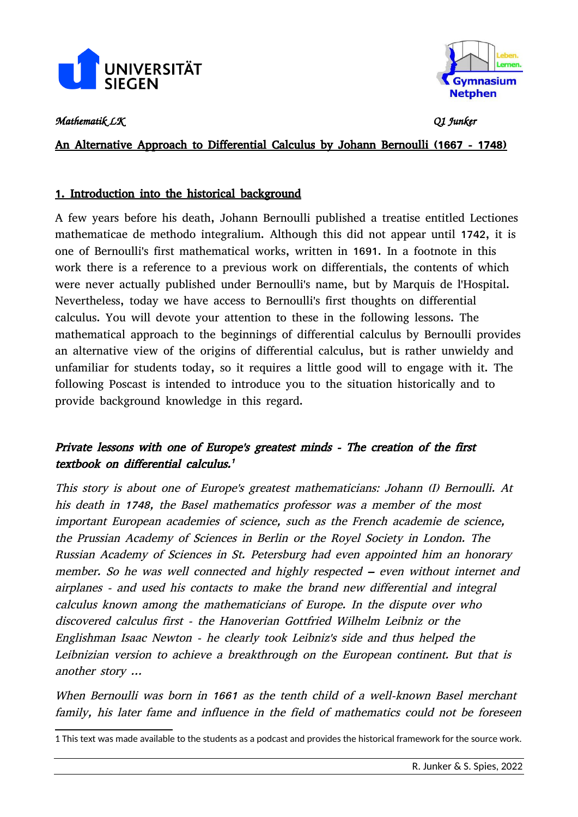



*Mathematik LK Q1 Junker*

An Alternative Approach to Differential Calculus by Johann Bernoulli (1667 - 1748)

# 1. Introduction into the historical background

A few years before his death, Johann Bernoulli published a treatise entitled Lectiones mathematicae de methodo integralium. Although this did not appear until 1742, it is one of Bernoulli's first mathematical works, written in 1691. In a footnote in this work there is a reference to a previous work on differentials, the contents of which were never actually published under Bernoulli's name, but by Marquis de l'Hospital. Nevertheless, today we have access to Bernoulli's first thoughts on differential calculus. You will devote your attention to these in the following lessons. The mathematical approach to the beginnings of differential calculus by Bernoulli provides an alternative view of the origins of differential calculus, but is rather unwieldy and unfamiliar for students today, so it requires a little good will to engage with it. The following Poscast is intended to introduce you to the situation historically and to provide background knowledge in this regard.

# Private lessons with one of Europe's greatest minds - The creation of the first textbook on differential calculus. [1](#page--1-0)

This story is about one of Europe's greatest mathematicians: Johann (I) Bernoulli. At his death in 1748, the Basel mathematics professor was a member of the most important European academies of science, such as the French academie de science, the Prussian Academy of Sciences in Berlin or the Royel Society in London. The Russian Academy of Sciences in St. Petersburg had even appointed him an honorary member. So he was well connected and highly respected – even without internet and airplanes - and used his contacts to make the brand new differential and integral calculus known among the mathematicians of Europe. In the dispute over who discovered calculus first - the Hanoverian Gottfried Wilhelm Leibniz or the Englishman Isaac Newton - he clearly took Leibniz's side and thus helped the Leibnizian version to achieve a breakthrough on the European continent. But that is another story ...

When Bernoulli was born in 1661 as the tenth child of a well-known Basel merchant family, his later fame and influence in the field of mathematics could not be foreseen

<sup>1</sup> This text was made available to the students as a podcast and provides the historical framework for the source work.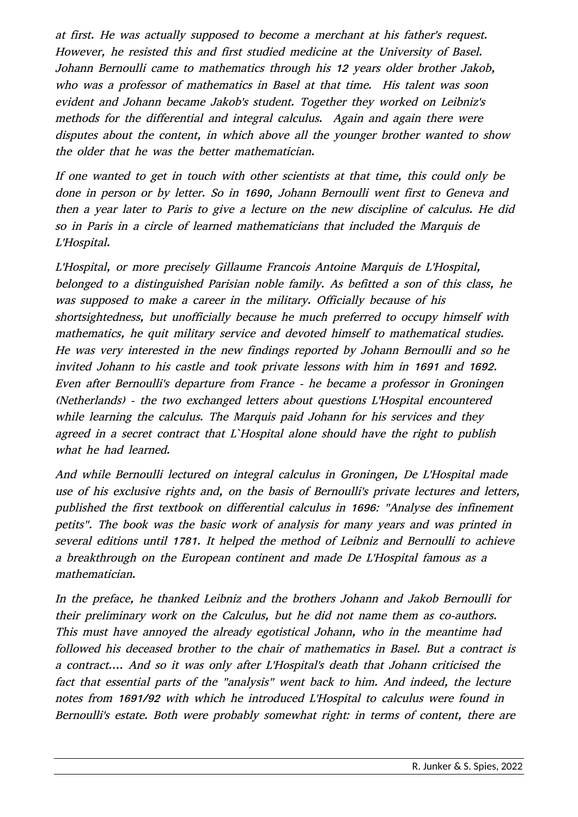at first. He was actually supposed to become a merchant at his father's request. However, he resisted this and first studied medicine at the University of Basel. Johann Bernoulli came to mathematics through his 12 years older brother Jakob, who was a professor of mathematics in Basel at that time. His talent was soon evident and Johann became Jakob's student. Together they worked on Leibniz's methods for the differential and integral calculus. Again and again there were disputes about the content, in which above all the younger brother wanted to show the older that he was the better mathematician.

If one wanted to get in touch with other scientists at that time, this could only be done in person or by letter. So in 1690, Johann Bernoulli went first to Geneva and then a year later to Paris to give a lecture on the new discipline of calculus. He did so in Paris in a circle of learned mathematicians that included the Marquis de L'Hospital.

L'Hospital, or more precisely Gillaume Francois Antoine Marquis de L'Hospital, belonged to a distinguished Parisian noble family. As befitted a son of this class, he was supposed to make a career in the military. Officially because of his shortsightedness, but unofficially because he much preferred to occupy himself with mathematics, he quit military service and devoted himself to mathematical studies. He was very interested in the new findings reported by Johann Bernoulli and so he invited Johann to his castle and took private lessons with him in 1691 and 1692. Even after Bernoulli's departure from France - he became a professor in Groningen (Netherlands) - the two exchanged letters about questions L'Hospital encountered while learning the calculus. The Marquis paid Johann for his services and they agreed in a secret contract that L`Hospital alone should have the right to publish what he had learned.

And while Bernoulli lectured on integral calculus in Groningen, De L'Hospital made use of his exclusive rights and, on the basis of Bernoulli's private lectures and letters, published the first textbook on differential calculus in 1696: "Analyse des infinement petits". The book was the basic work of analysis for many years and was printed in several editions until 1781. It helped the method of Leibniz and Bernoulli to achieve a breakthrough on the European continent and made De L'Hospital famous as a mathematician.

In the preface, he thanked Leibniz and the brothers Johann and Jakob Bernoulli for their preliminary work on the Calculus, but he did not name them as co-authors. This must have annoyed the already egotistical Johann, who in the meantime had followed his deceased brother to the chair of mathematics in Basel. But a contract is a contract.... And so it was only after L'Hospital's death that Johann criticised the fact that essential parts of the "analysis" went back to him. And indeed, the lecture notes from 1691/92 with which he introduced L'Hospital to calculus were found in Bernoulli's estate. Both were probably somewhat right: in terms of content, there are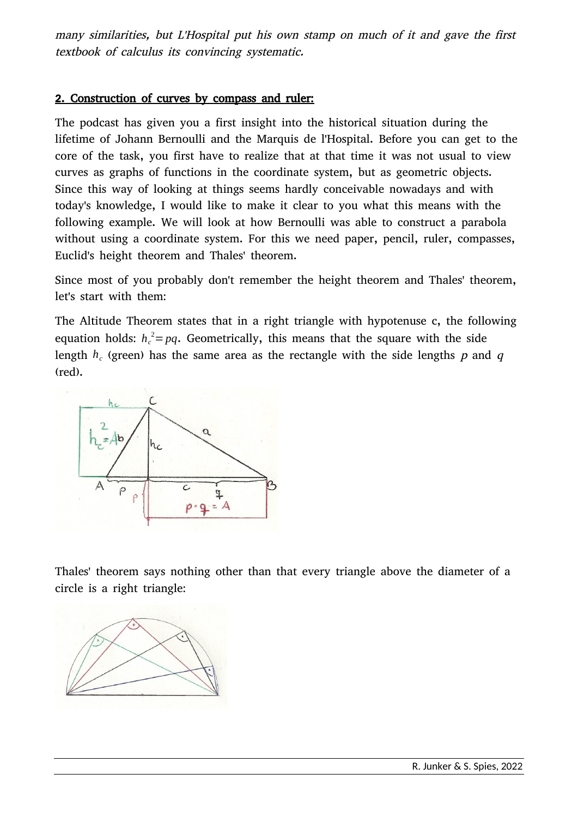many similarities, but L'Hospital put his own stamp on much of it and gave the first textbook of calculus its convincing systematic.

#### 2. Construction of curves by compass and ruler:

The podcast has given you a first insight into the historical situation during the lifetime of Johann Bernoulli and the Marquis de l'Hospital. Before you can get to the core of the task, you first have to realize that at that time it was not usual to view curves as graphs of functions in the coordinate system, but as geometric objects. Since this way of looking at things seems hardly conceivable nowadays and with today's knowledge, I would like to make it clear to you what this means with the following example. We will look at how Bernoulli was able to construct a parabola without using a coordinate system. For this we need paper, pencil, ruler, compasses, Euclid's height theorem and Thales' theorem.

Since most of you probably don't remember the height theorem and Thales' theorem, let's start with them:

The Altitude Theorem states that in a right triangle with hypotenuse c, the following equation holds:  $h_c^2 = pq$ . Geometrically, this means that the square with the side length  $h_c$  (green) has the same area as the rectangle with the side lengths  $p$  and  $q$ (red).



Thales' theorem says nothing other than that every triangle above the diameter of a circle is a right triangle:

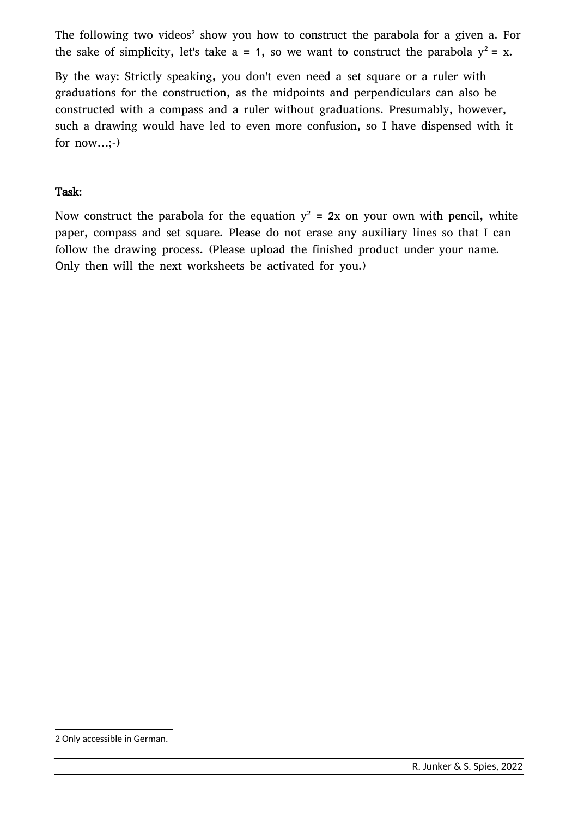The following two videos<sup>[2](#page--1-0)</sup> show you how to construct the parabola for a given a. For the sake of simplicity, let's take  $a = 1$ , so we want to construct the parabola  $y^2 = x$ .

By the way: Strictly speaking, you don't even need a set square or a ruler with graduations for the construction, as the midpoints and perpendiculars can also be constructed with a compass and a ruler without graduations. Presumably, however, such a drawing would have led to even more confusion, so I have dispensed with it for now…;-)

#### Task:

Now construct the parabola for the equation  $y^2 = 2x$  on your own with pencil, white paper, compass and set square. Please do not erase any auxiliary lines so that I can follow the drawing process. (Please upload the finished product under your name. Only then will the next worksheets be activated for you.)

<sup>2</sup> Only accessible in German.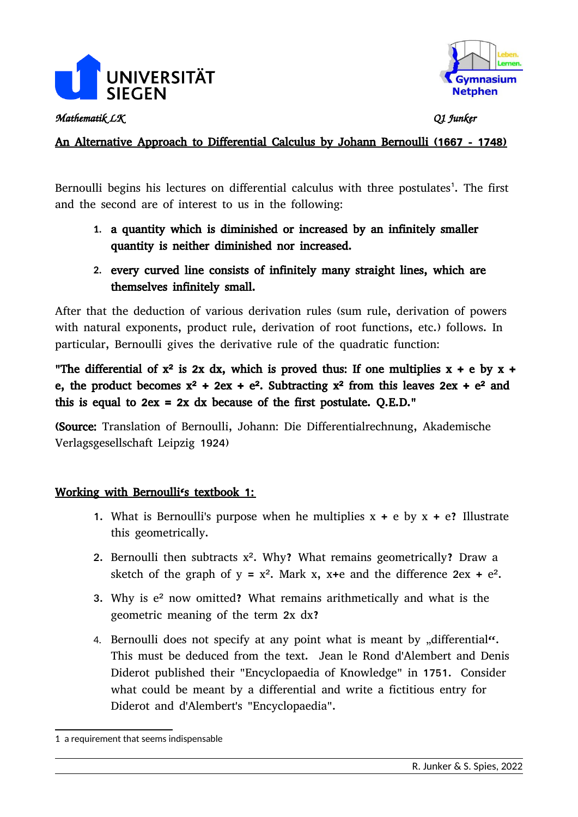



*Mathematik LK Q1 Junker*

## An Alternative Approach to Differential Calculus by Johann Bernoulli (1667 - 1748)

Bernoulli begins his lectures on differential calculus with three postulates<sup>[1](#page--1-0)</sup>. The first and the second are of interest to us in the following:

- **1.** a quantity which is diminished or increased by an infinitely smaller quantity is neither diminished nor increased.
- **2.** every curved line consists of infinitely many straight lines, which are themselves infinitely small.

After that the deduction of various derivation rules (sum rule, derivation of powers with natural exponents, product rule, derivation of root functions, etc.) follows. In particular, Bernoulli gives the derivative rule of the quadratic function:

"The differential of  $x^2$  is 2x dx, which is proved thus: If one multiplies  $x + e$  by  $x +$ e, the product becomes  $x^2 + 2ex + e^2$ . Subtracting  $x^2$  from this leaves  $2ex + e^2$  and this is equal to  $2ex = 2x$  dx because of the first postulate. Q.E.D."

(Source: Translation of Bernoulli, Johann: Die Differentialrechnung, Akademische Verlagsgesellschaft Leipzig 1924)

#### Working with Bernoulli's textbook 1:

- 1. What is Bernoulli's purpose when he multiplies  $x + e$  by  $x + e$ ? Illustrate this geometrically.
- 2. Bernoulli then subtracts x². Why? What remains geometrically? Draw a sketch of the graph of  $y = x^2$ . Mark x, x+e and the difference 2ex + e<sup>2</sup>.
- 3. Why is e² now omitted? What remains arithmetically and what is the geometric meaning of the term 2x dx?
- 4. Bernoulli does not specify at any point what is meant by  $\partial u$  differential<sup> $\alpha$ </sup>. This must be deduced from the text. Jean le Rond d'Alembert and Denis Diderot published their "Encyclopaedia of Knowledge" in 1751. Consider what could be meant by a differential and write a fictitious entry for Diderot and d'Alembert's "Encyclopaedia".

<sup>1</sup> a requirement that seems indispensable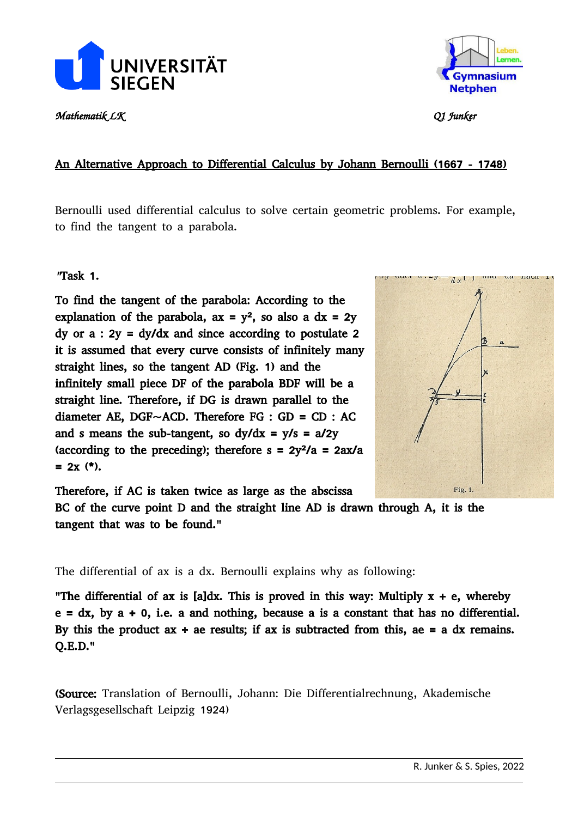

*Mathematik LK Q1 Junker*



## An Alternative Approach to Differential Calculus by Johann Bernoulli (1667 - 1748)

Bernoulli used differential calculus to solve certain geometric problems. For example, to find the tangent to a parabola.

"Task 1.

To find the tangent of the parabola: According to the explanation of the parabola,  $ax = y^2$ , so also a  $dx = 2y$ dy or  $a : 2y = dy/dx$  and since according to postulate 2 it is assumed that every curve consists of infinitely many straight lines, so the tangent AD (Fig. 1) and the infinitely small piece DF of the parabola BDF will be a straight line. Therefore, if DG is drawn parallel to the diameter AE, DGF $\sim$ ACD. Therefore FG : GD = CD : AC and s means the sub-tangent, so  $dy/dx = y/s = a/2y$ (according to the preceding); therefore  $s = 2y^2/a = 2ax/a$  $= 2x$  (\*).

Therefore, if AC is taken twice as large as the abscissa

BC of the curve point D and the straight line AD is drawn through A, it is the tangent that was to be found."

The differential of ax is a dx. Bernoulli explains why as following:

"The differential of ax is [a]dx. This is proved in this way: Multiply  $x + e$ , whereby  $e = dx$ , by  $a + 0$ , i.e. a and nothing, because a is a constant that has no differential. By this the product  $ax + ae$  results; if  $ax$  is subtracted from this,  $ae = a dx$  remains. Q.E.D."

(Source: Translation of Bernoulli, Johann: Die Differentialrechnung, Akademische Verlagsgesellschaft Leipzig 1924)

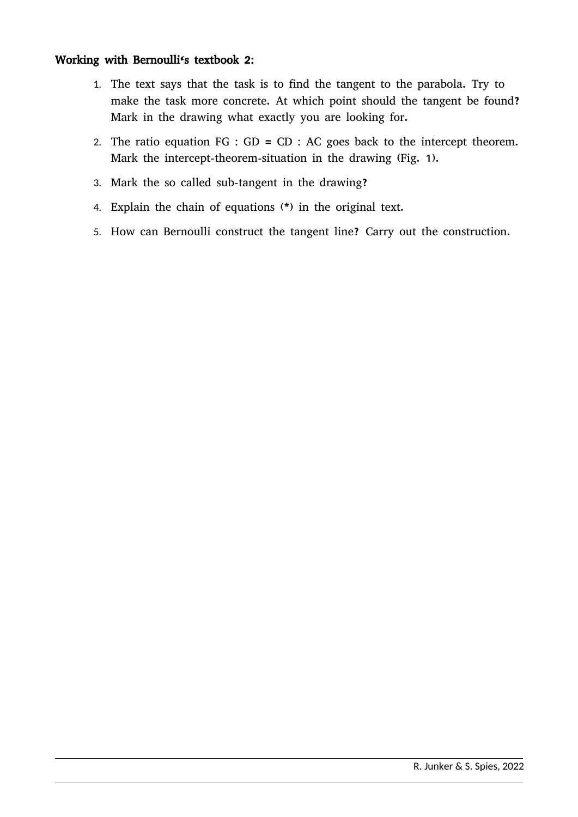### Working with Bernoulli's textbook 2:

- 1. The text says that the task is to find the tangent to the parabola. Try to make the task more concrete. At which point should the tangent be found? Mark in the drawing what exactly you are looking for.
- 2. The ratio equation  $FG : GD = CD : AC$  goes back to the intercept theorem. Mark the intercept-theorem-situation in the drawing (Fig. 1).
- 3. Mark the so called sub-tangent in the drawing?
- 4. Explain the chain of equations (\*) in the original text.
- 5. How can Bernoulli construct the tangent line? Carry out the construction.